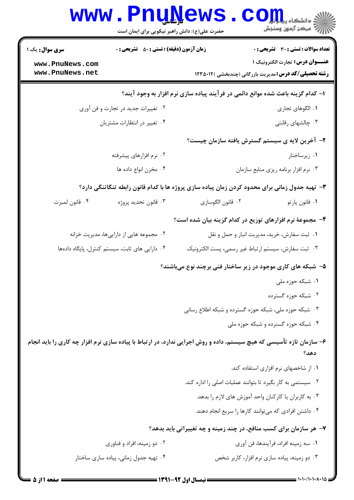|                                    | www.PnuNews<br>حضرت علی(ع): دانش راهبر نیکویی برای ایمان است |                                              | الا دانشگاه پیام <mark>بر</mark><br>الله مرکز آزمون وسنجش                                                                    |
|------------------------------------|--------------------------------------------------------------|----------------------------------------------|------------------------------------------------------------------------------------------------------------------------------|
| <b>سری سوال :</b> یک ۱             | <b>زمان آزمون (دقیقه) : تستی : 50 ٪ تشریحی : 0</b>           |                                              | تعداد سوالات : تستي : 30 - تشريحي : 0                                                                                        |
| www.PnuNews.com                    |                                                              |                                              | عنـــوان درس: تجارت الكترونيك ١                                                                                              |
| www.PnuNews.net                    |                                                              |                                              | <b>رشته تحصیلی/کد درس:</b> مدیریت بازرگانی (چندبخشی )۱۲۵۵۰۱۲                                                                 |
|                                    |                                                              |                                              | ا– کدام گزینه باعث شده موانع دائمی در فرآیند پیاده سازی نرم افزار به وجود آیند؟                                              |
| ۰۲ تغییرات جدید در تجارت و فن آوری |                                                              |                                              | ٠١. الگوهاي تجاري                                                                                                            |
|                                    | ۰۴ تغییر در انتظارات مشتریان                                 |                                              | ۰۳ چالشهای رقابتی                                                                                                            |
|                                    |                                                              |                                              | ۲- آخرین لایه ی سیستم گسترش یافته سازمان چیست؟                                                                               |
|                                    | ۰۲ نرم افزارهای پیشرفته                                      |                                              | ۰۱ زیرساختار                                                                                                                 |
| ۰۴ مخزن انواع داده ها              |                                                              |                                              | ۰۳ نرم افزار برنامه ریزی منابع سازمان                                                                                        |
|                                    |                                                              |                                              | ۳- تهیه جدول زمانی برای محدود کردن زمان پیاده سازی پروژه ها با کدام قانون رابطه تنگاتنگی دارد؟                               |
| ۰۴ قانون لمبرت                     | ۰۳ قانون تحديد پروژه                                         | ٢. قانون الگوسازي                            | ٠١ قانون پارتو                                                                                                               |
|                                    |                                                              |                                              | ۴- مجموعهٔ نرم افزارهای توزیع در کدام گزینه بیان شده است؟                                                                    |
|                                    | ۰۲ مجموعه هایی از داراییها، مدیریت خزانه                     | ۰۱ ثبت سفارش، خرید، مدیریت انبار و حمل و نقل |                                                                                                                              |
|                                    | ۰۴ دارایی های ثابت، سیستم کنترل، پایگاه دادهها               |                                              | ۰۳ ثبت سفارش، سيستم ارتباط غير رسمي، پست الكترونيك                                                                           |
|                                    |                                                              |                                              | ۵– شبکه های کاری موجود در زیر ساختار فنی برچند نوع میباشند؟                                                                  |
|                                    |                                                              |                                              | ۰۱ شبکه حوزه ملی                                                                                                             |
|                                    |                                                              |                                              | ۰۲ شبکه حوزه گسترده                                                                                                          |
|                                    |                                                              |                                              | ۰۳ شبکه حوزه ملی، شبکه حوزه گسترده و شبکه اطلاع رسانی                                                                        |
|                                    |                                                              |                                              | ۰۴ شبکه حوزه گسترده و شبکه حوزه ملی                                                                                          |
|                                    |                                                              |                                              | ۶– سازمان تازه تأسیسی که هیچ سیستم، داده و روش اجرایی ندارد، در ارتباط با پیاده سازی نرم افزار چه کاری را باید انجام<br>دهد؟ |
|                                    |                                                              |                                              | ٠١ از شاخصهای نرم افزاری استفاده کند.                                                                                        |
|                                    |                                                              |                                              | ۰۲ سیستمی به کار بگیرد تا بتوانند عملیات اصلی را اداره کند.                                                                  |
|                                    |                                                              |                                              | ۰۳ به کاربران یا کارکنان واحد آموزش های لازم را بدهد.                                                                        |
|                                    |                                                              |                                              | ۰۴ داشتن افرادی که میتوانند کارها را سریع انجام دهند.                                                                        |
|                                    |                                                              |                                              | ۷- هر سازمان برای کسب منافع، در چند زمینه و چه تغییراتی باید بدهد؟                                                           |
|                                    | ۰۲ دو زمینه، افراد و فناوری                                  |                                              | ٠١ سه زمينه افراد، فرآيندها، فن آوري                                                                                         |
|                                    | ۰۴ تهیه جدول زمانی، پیاده سازی ساختار                        |                                              | ۰۳ دو زمینه، پیاده سازی نرم افزار، کاربر شخص                                                                                 |

 $= 1 - 1 - 11 - 1 - 10$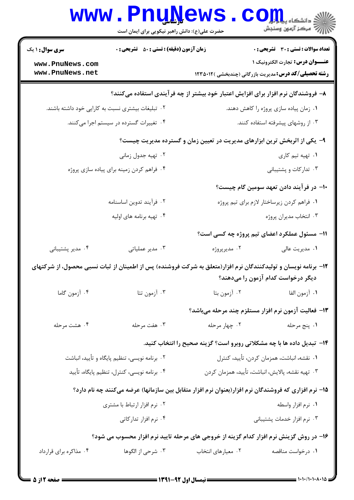|                                               | <b>www.PnuNews</b><br>حضرت علی(ع): دانش راهبر نیکویی برای ایمان است |                                                  | ان دانشگاه پیام اور<br>ان مرکز آزمون وسنجش<br>انگلستان                                                                                               |
|-----------------------------------------------|---------------------------------------------------------------------|--------------------------------------------------|------------------------------------------------------------------------------------------------------------------------------------------------------|
| <b>سری سوال : ۱ یک</b>                        | <b>زمان آزمون (دقیقه) : تستی : 50 ٪ تشریحی : 0</b>                  |                                                  | تعداد سوالات : تستي : 30 - تشريحي : 0                                                                                                                |
| www.PnuNews.com                               |                                                                     |                                                  | عنـــوان درس: تجارت الكترونيك ١                                                                                                                      |
| www.PnuNews.net                               |                                                                     |                                                  | <b>رشته تحصیلی/کد درس:</b> مدیریت بازرگانی (چندبخشی )۱۲۳۵۰۱۲                                                                                         |
|                                               |                                                                     |                                                  | ۸– فروشندگان نرم افزار برای افزایش اعتبار خود بیشتر از چه فرآیندی استفاده میکنند؟                                                                    |
|                                               | ۰۲ تبلیغات بیشتری نسبت به کارایی خود داشته باشند.                   |                                                  | ۰۱ زمان پیاده سازی پروژه را کاهش دهند.                                                                                                               |
|                                               | ۰۴ تغییرات گسترده در سیستم اجرا میکنند.                             |                                                  | ۰۳ از روشهای پیشرفته استفاده کنند.                                                                                                                   |
|                                               |                                                                     |                                                  | ۹- یکی از اثربخش ترین ابزارهای مدیریت در تعیین زمان و گسترده مدیریت چیست؟                                                                            |
|                                               | ۰۲ تهیه جدول زمانی                                                  |                                                  | ٠١. تهيه تيم كارى                                                                                                                                    |
|                                               | ۰۴ فراهم کردن زمینه برای پیاده سازی پروژه                           |                                                  | ۰۳ تدارکات و پشتیبانی                                                                                                                                |
|                                               |                                                                     |                                                  | ∙۱− در فرآیند دادن تعهد سومین گام چیست؟                                                                                                              |
|                                               | ۰۲ فرآیند تدوین اساسنامه                                            |                                                  | ٠١ فراهم كردن زيرساختار لازم براي تيم پروژه                                                                                                          |
|                                               | ۰۴ تهیه برنامه های اولیه                                            |                                                  | ۰۳ انتخاب مدیران پروژه                                                                                                                               |
|                                               |                                                                     |                                                  | 11- مسئول عملکرد اعضای تیم پروژه چه کسی است؟                                                                                                         |
| ۰۴ مدیر پشتیبانی                              | ۰۳ مدیر عملیاتی                                                     | ۰۲ مدیرپروژه                                     | ٠١ مديريت عالي                                                                                                                                       |
|                                               |                                                                     |                                                  | ۱۲– برنامه نویسان و تولیدکنندگان نرم افزار(متعلق به شرکت فروشنده) پس از اطمینان از ثبات نسبی محصول، از شرکتهای<br>دیگر درخواست کدام آزمون را میدهند؟ |
| ۰۴ آزمون گاما                                 | ۰۳ آزمون تتا                                                        | ۰۲ آزمون بتا                                     | ١. آزمون الفا                                                                                                                                        |
|                                               |                                                                     |                                                  | ۱۳– فعالیت آزمون نرم افزار مستلزم چند مرحله میباشد؟                                                                                                  |
| ۰۴ هشت مرحله                                  | ۰۳ هفت مرحله                                                        | ۰۲ چهار مرحله                                    | ١. پنج مرحله                                                                                                                                         |
|                                               |                                                                     |                                                  | ۱۴- تبدیل داده ها با چه مشکلاتی روبرو است؟ گزینه صحیح را انتخاب کنید.                                                                                |
| ۰۲ برنامه نویسی، تنظیم پایگاه و تأیید، انباشت |                                                                     | ٠١ نقشه، انباشت، همزمان كردن، تأييد، كنترل       |                                                                                                                                                      |
| ۰۴ برنامه نویسی، کنترل، تنظیم پایگاه، تأیید   |                                                                     | ٠٣ تهيه نقشه، پالايش، انباشت، تأييد، همزمان كردن |                                                                                                                                                      |
|                                               |                                                                     |                                                  | ۱۵– نرم افزاری که فروشندگان نرم افزار(بعنوان نرم افزار متقابل بین سازمانها) عرضه میکنند چه نام دارد؟                                                 |
| ۰۲ نرم افزار ارتباط با مشتری                  |                                                                     | ۰۱ نرم افزار واسطه                               |                                                                                                                                                      |
|                                               | ۰۴ نرم افزار تداركاتي                                               |                                                  | ۰۳ نرم افزار خدمات پشتیبانی                                                                                                                          |
|                                               |                                                                     |                                                  | ۱۶- در روش گزینش نرم افزار کدام گزینه از خروجی های مرحله تایید نرم افزار محسوب می شود؟                                                               |
| ۰۴ مذاکره برای قرارداد                        | ۰۳ شرحی از الگوها                                                   | ۰۲ معیارهای انتخاب                               | ۰۱ درخواست مناقصه                                                                                                                                    |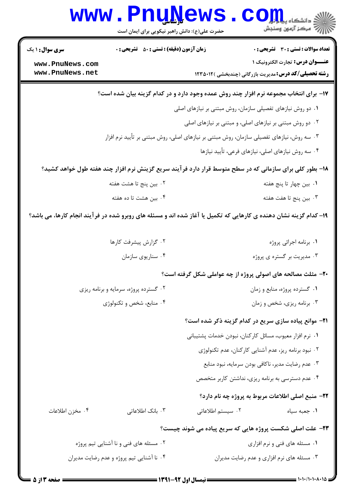|                                                                   | <b>www.PnuNews</b><br>حضرت علی(ع): دانش راهبر نیکویی برای ایمان است                                                                                                                |                                                            | الاد دانشڪاه پيا و <mark>ر</mark> ي <mark>کا</mark><br>الله عرکز آنهون وسنڊش                                                                                                                                                                                                                                                                  |
|-------------------------------------------------------------------|------------------------------------------------------------------------------------------------------------------------------------------------------------------------------------|------------------------------------------------------------|-----------------------------------------------------------------------------------------------------------------------------------------------------------------------------------------------------------------------------------------------------------------------------------------------------------------------------------------------|
| <b>سری سوال : ۱ یک</b><br>www.PnuNews.com<br>www.PnuNews.net      | <b>زمان آزمون (دقیقه) : تستی : 50 ٪ تشریحی : 0</b>                                                                                                                                 |                                                            | <b>تعداد سوالات : تستی : 30 ٪ تشریحی : 0</b><br>عنـــوان درس: تجارت الكترونيك ١<br><b>رشته تحصیلی/کد درس:</b> مدیریت بازرگانی (چندبخشی )۱۲۳۵۰۱۲                                                                                                                                                                                               |
|                                                                   | ۱۷- برای انتخاب مجموعه نرم افزار چند روش عمده وجود دارد و در کدام گزینه بیان شده است؟<br>۰۳ سه روش، نیازهای تفصیلی سازمان، روش مبتنی بر نیازهای اصلی، روش مبتنی بر تأیید نرم افزار | ۰۱ دو روش نیازهای تفصیلی سازمان، روش مبتنی بر نیازهای اصلی | ۰۲ دو روش مبتنی بر نیازهای اصلی، و مبتنی بر نیازهای اصلی                                                                                                                                                                                                                                                                                      |
|                                                                   | ۱۸- بطور کلی برای سازمانی که در سطح متوسط قرار دارد فرآیند سریع گزینش نرم افزار چند هفته طول خواهد کشید؟                                                                           |                                                            | ۰۴ سه روش نیازهای اصلی، نیازهای فرعی، تأیید نیازها                                                                                                                                                                                                                                                                                            |
|                                                                   | ۰۲ بین پنج تا هشت هفته<br>۰۴ بین هشت تا ده هفته<br>۱۹– کدام گزینه نشان دهنده ی کارهایی که تکمیل یا آغاز شده اند و مسئله های روبرو شده در فرآیند انجام کارها، می باشد؟              |                                                            | ۰ <b>۱</b> بین چهار تا پنج هفته<br>۰۳ بین پنج تا هفت هفته                                                                                                                                                                                                                                                                                     |
|                                                                   | ۰۲ گزارش پیشرفت کارها<br>۰۴ سناريوي سازمان                                                                                                                                         |                                                            | ٠١. برنامه اجرائي پروژه<br>۰۳ مدیریت بر گستره ی پروژه                                                                                                                                                                                                                                                                                         |
| ۰۲ گسترده پروژه، سرمایه و برنامه ریزی<br>۰۴ منابع، شخص و تکنولوژی |                                                                                                                                                                                    |                                                            | <b>۲۰</b> - مثلث مصالحه های اصولی پروژه از چه عواملی شکل گرفته است؟<br>۰۱ گسترده پروژه، منابع و زمان<br>۰۳ برنامه ریزی، شخص و زمان                                                                                                                                                                                                            |
|                                                                   |                                                                                                                                                                                    |                                                            | <b>۲۱</b> - موانع پیاده سازی سریع در کدام گزینه ذکر شده است؟<br>٠١ نرم افزار معيوب، مسائل كاركنان، نبودن خدمات پشتيباني<br>۰۲ نبود برنامه ریز، عدم آشنایی کارکنان، عدم تکنولوژی<br>۰۳ عدم رضایت مدیر، ناکافی بودن سرمایه، نبود منابع<br>۰۴ عدم دسترسی به برنامه ریزی، نداشتن کاربر متخصص<br>٢٢- منبع اصلي اطلاعات مربوط به پروژه چه نام دارد؟ |
| ۰۴ مخزن اطلاعات                                                   | ۰۳ بانک اطلاعاتی                                                                                                                                                                   | ۰۲ سیستم اطلاعاتی                                          | ٠١ جعبه سياه<br><b>۲۳</b> - علت اصلی شکست پروژه هایی که سریع پیاده می شوند چیست؟                                                                                                                                                                                                                                                              |
|                                                                   | ۰۲ مسئله های فنی و نا آشنایی تیم پروژه<br>۰۴ نا آشنایی تیم پروژه و عدم رضایت مدیران                                                                                                |                                                            | ۰۱ مسئله های فنی و نرم افزاری<br>۰۳ مسئله های نرم افزاری و عدم رضایت مدیران                                                                                                                                                                                                                                                                   |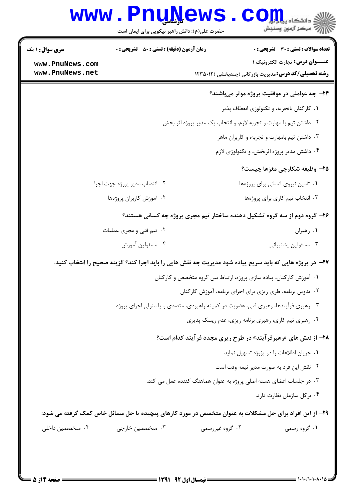| <b>سری سوال :</b> ۱ یک        | <b>زمان آزمون (دقیقه) : تستی : 50 ٪ تشریحی : 0</b> | تعداد سوالات : تستى : 30 - تشريحي : 0                                                                            |
|-------------------------------|----------------------------------------------------|------------------------------------------------------------------------------------------------------------------|
| www.PnuNews.com               |                                                    | <b>عنـــوان درس:</b> تجارت الكترونيك ١                                                                           |
| www.PnuNews.net               |                                                    | <b>رشته تحصیلی/کد درس: م</b> دیریت بازرگانی (چندبخشی )۱۲۳۵۰۱۲                                                    |
|                               |                                                    | ۲۴- چه عواملی در موفقیت پروژه موثر میباشند؟                                                                      |
|                               |                                                    | ٠١ كاركنان باتجربه، و تكنولوژي انعطاف پذير                                                                       |
|                               |                                                    | ۰۲ داشتن تیم با مهارت و تجربه لازم، و انتخاب یک مدیر پروژه اثر بخش                                               |
|                               |                                                    | ۰۳ داشتن تیم بامهارت و تجربه، و کاربران ماهر                                                                     |
|                               |                                                    | ۰۴ داشتن مدیر پروژه اثربخش، و تکنولوژی لازم                                                                      |
|                               |                                                    | ۲۵- وظیفه شکارچی مغزها چیست؟                                                                                     |
| ۰۲ انتصاب مدیر پروژه جهت اجرا |                                                    | ٠١ تامين نيروى انسانى براى پروژەها                                                                               |
|                               | ۰۴ آموزش كاربران پروژهها                           | ٠٣ انتخاب تيم كارى براى پروژهها                                                                                  |
|                               |                                                    | ۲۶- گروه دوم از سه گروه تشکیل دهنده ساختار تیم مجری پروژه چه کسانی هستند؟                                        |
| ۰۲ تیم فنی و مجری عملیات      |                                                    | ۰۱ رهبران                                                                                                        |
|                               | ۰۴ مسئولين آموزش                                   | ۰۳ مسئولين پشتيباني                                                                                              |
|                               |                                                    | <b>۲۷</b> - در پروژه هایی که باید سریع پیاده شود مدیریت چه نقش هایی را باید اجرا کند؟ گزینه صحیح را انتخاب کنید. |
|                               |                                                    | ٠١ آموزش كاركنان، پياده سازى پروژه، ارتباط بين گروه متخصص و كاركنان                                              |
|                               |                                                    | ۰۲ تدوین برنامه، طری ریزی برای اجرای برنامه، آموزش کارکنان                                                       |
|                               |                                                    | ۰۳ رهبری فرآیندها، رهبری فنی، عضویت در کمیته راهبردی، متصدی و یا متولی اجرای پروژه                               |
|                               |                                                    | ۰۴ رهبری تیم کاری، رهبری برنامه ریزی، عدم ریسک پذیری                                                             |
|                               |                                                    | <b>۲۸- از نقش های «رهبرفرآیند» در طرح ریزی مجدد فرآیند کدام است؟</b>                                             |
|                               |                                                    | ٠١ جريان اطلاعات را در پژوژه تسهيل نمايد                                                                         |
|                               |                                                    | ۰۲ نقش این فرد به صورت مدیر نیمه وقت است                                                                         |
|                               |                                                    | ۰۳ در جلسات اعضای هسته اصلی پروژه به عنوان هماهنگ کننده عمل می کند.                                              |
|                               |                                                    | ۰۴ بركل سازمان نظارت دارد.                                                                                       |
|                               |                                                    | ۲۹- از این افراد برای حل مشکلات به عنوان متخصص در مورد کارهای پیچیده یا حل مسائل خاص کمک گرفته می شود:           |
| ۰۴ متخصصین داخلی              | ۰۳ متخصصین خارجی<br>۰۲ گروه غیررسمی                | ۰۱ گروه رسمی                                                                                                     |